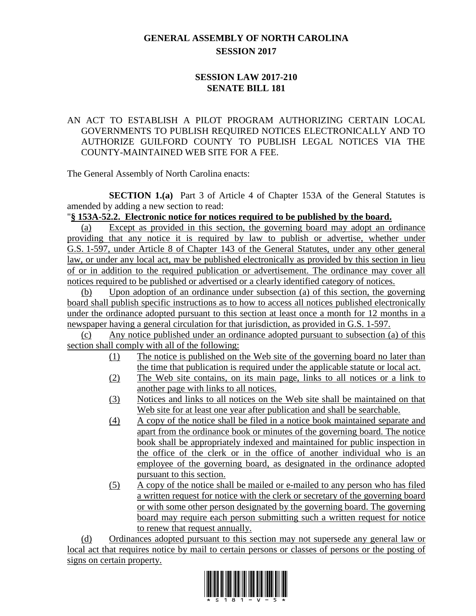# **GENERAL ASSEMBLY OF NORTH CAROLINA SESSION 2017**

## **SESSION LAW 2017-210 SENATE BILL 181**

## AN ACT TO ESTABLISH A PILOT PROGRAM AUTHORIZING CERTAIN LOCAL GOVERNMENTS TO PUBLISH REQUIRED NOTICES ELECTRONICALLY AND TO AUTHORIZE GUILFORD COUNTY TO PUBLISH LEGAL NOTICES VIA THE COUNTY-MAINTAINED WEB SITE FOR A FEE.

The General Assembly of North Carolina enacts:

**SECTION 1.(a)** Part 3 of Article 4 of Chapter 153A of the General Statutes is amended by adding a new section to read:

#### "**§ 153A-52.2. Electronic notice for notices required to be published by the board.**

(a) Except as provided in this section, the governing board may adopt an ordinance providing that any notice it is required by law to publish or advertise, whether under G.S. 1-597, under Article 8 of Chapter 143 of the General Statutes, under any other general law, or under any local act, may be published electronically as provided by this section in lieu of or in addition to the required publication or advertisement. The ordinance may cover all notices required to be published or advertised or a clearly identified category of notices.

(b) Upon adoption of an ordinance under subsection (a) of this section, the governing board shall publish specific instructions as to how to access all notices published electronically under the ordinance adopted pursuant to this section at least once a month for 12 months in a newspaper having a general circulation for that jurisdiction, as provided in G.S. 1-597.

(c) Any notice published under an ordinance adopted pursuant to subsection (a) of this section shall comply with all of the following:

- (1) The notice is published on the Web site of the governing board no later than the time that publication is required under the applicable statute or local act.
- (2) The Web site contains, on its main page, links to all notices or a link to another page with links to all notices.
- (3) Notices and links to all notices on the Web site shall be maintained on that Web site for at least one year after publication and shall be searchable.
- (4) A copy of the notice shall be filed in a notice book maintained separate and apart from the ordinance book or minutes of the governing board. The notice book shall be appropriately indexed and maintained for public inspection in the office of the clerk or in the office of another individual who is an employee of the governing board, as designated in the ordinance adopted pursuant to this section.
- (5) A copy of the notice shall be mailed or e-mailed to any person who has filed a written request for notice with the clerk or secretary of the governing board or with some other person designated by the governing board. The governing board may require each person submitting such a written request for notice to renew that request annually.

(d) Ordinances adopted pursuant to this section may not supersede any general law or local act that requires notice by mail to certain persons or classes of persons or the posting of signs on certain property.

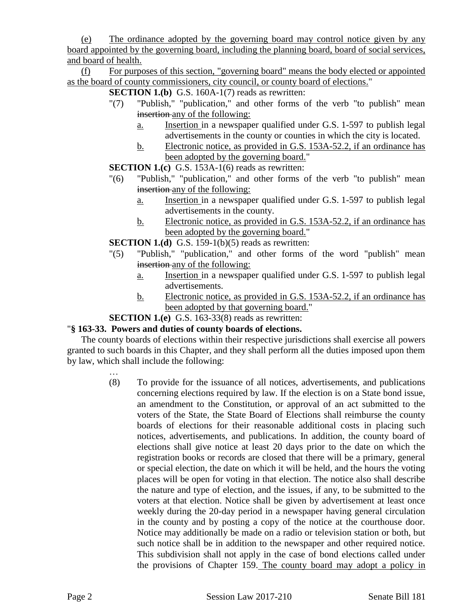(e) The ordinance adopted by the governing board may control notice given by any board appointed by the governing board, including the planning board, board of social services, and board of health.

(f) For purposes of this section, "governing board" means the body elected or appointed as the board of county commissioners, city council, or county board of elections."

**SECTION 1.(b)** G.S. 160A-1(7) reads as rewritten:

- "(7) "Publish," "publication," and other forms of the verb "to publish" mean insertion any of the following:
	- a. Insertion in a newspaper qualified under G.S. 1-597 to publish legal advertisements in the county or counties in which the city is located.
	- b. Electronic notice, as provided in G.S. 153A-52.2, if an ordinance has been adopted by the governing board."

**SECTION 1.(c)** G.S. 153A-1(6) reads as rewritten:

- "(6) "Publish," "publication," and other forms of the verb "to publish" mean insertion any of the following:
	- a. Insertion in a newspaper qualified under G.S. 1-597 to publish legal advertisements in the county.
	- b. Electronic notice, as provided in G.S. 153A-52.2, if an ordinance has been adopted by the governing board."
- **SECTION 1.(d)** G.S. 159-1(b)(5) reads as rewritten:
- "(5) "Publish," "publication," and other forms of the word "publish" mean insertion any of the following:
	- a. Insertion in a newspaper qualified under G.S. 1-597 to publish legal advertisements.
	- b. Electronic notice, as provided in G.S. 153A-52.2, if an ordinance has been adopted by that governing board."

## **SECTION 1.(e)** G.S. 163-33(8) reads as rewritten:

## "**§ 163-33. Powers and duties of county boards of elections.**

The county boards of elections within their respective jurisdictions shall exercise all powers granted to such boards in this Chapter, and they shall perform all the duties imposed upon them by law, which shall include the following:

> … (8) To provide for the issuance of all notices, advertisements, and publications concerning elections required by law. If the election is on a State bond issue, an amendment to the Constitution, or approval of an act submitted to the voters of the State, the State Board of Elections shall reimburse the county boards of elections for their reasonable additional costs in placing such notices, advertisements, and publications. In addition, the county board of elections shall give notice at least 20 days prior to the date on which the registration books or records are closed that there will be a primary, general or special election, the date on which it will be held, and the hours the voting places will be open for voting in that election. The notice also shall describe the nature and type of election, and the issues, if any, to be submitted to the voters at that election. Notice shall be given by advertisement at least once weekly during the 20-day period in a newspaper having general circulation in the county and by posting a copy of the notice at the courthouse door. Notice may additionally be made on a radio or television station or both, but such notice shall be in addition to the newspaper and other required notice. This subdivision shall not apply in the case of bond elections called under the provisions of Chapter 159. The county board may adopt a policy in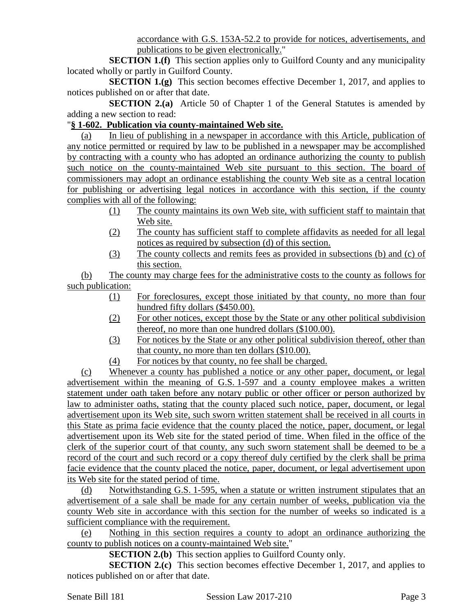accordance with G.S. 153A-52.2 to provide for notices, advertisements, and publications to be given electronically."

**SECTION 1.(f)** This section applies only to Guilford County and any municipality located wholly or partly in Guilford County.

**SECTION 1.(g)** This section becomes effective December 1, 2017, and applies to notices published on or after that date.

**SECTION 2.(a)** Article 50 of Chapter 1 of the General Statutes is amended by adding a new section to read:

#### "**§ 1-602. Publication via county-maintained Web site.**

(a) In lieu of publishing in a newspaper in accordance with this Article, publication of any notice permitted or required by law to be published in a newspaper may be accomplished by contracting with a county who has adopted an ordinance authorizing the county to publish such notice on the county-maintained Web site pursuant to this section. The board of commissioners may adopt an ordinance establishing the county Web site as a central location for publishing or advertising legal notices in accordance with this section, if the county complies with all of the following:

- (1) The county maintains its own Web site, with sufficient staff to maintain that Web site.
- (2) The county has sufficient staff to complete affidavits as needed for all legal notices as required by subsection (d) of this section.
- (3) The county collects and remits fees as provided in subsections (b) and (c) of this section.

(b) The county may charge fees for the administrative costs to the county as follows for such publication:

- (1) For foreclosures, except those initiated by that county, no more than four hundred fifty dollars (\$450.00).
- (2) For other notices, except those by the State or any other political subdivision thereof, no more than one hundred dollars (\$100.00).
- (3) For notices by the State or any other political subdivision thereof, other than that county, no more than ten dollars (\$10.00).
- (4) For notices by that county, no fee shall be charged.

(c) Whenever a county has published a notice or any other paper, document, or legal advertisement within the meaning of G.S. 1-597 and a county employee makes a written statement under oath taken before any notary public or other officer or person authorized by law to administer oaths, stating that the county placed such notice, paper, document, or legal advertisement upon its Web site, such sworn written statement shall be received in all courts in this State as prima facie evidence that the county placed the notice, paper, document, or legal advertisement upon its Web site for the stated period of time. When filed in the office of the clerk of the superior court of that county, any such sworn statement shall be deemed to be a record of the court and such record or a copy thereof duly certified by the clerk shall be prima facie evidence that the county placed the notice, paper, document, or legal advertisement upon its Web site for the stated period of time.

(d) Notwithstanding G.S. 1-595, when a statute or written instrument stipulates that an advertisement of a sale shall be made for any certain number of weeks, publication via the county Web site in accordance with this section for the number of weeks so indicated is a sufficient compliance with the requirement.

(e) Nothing in this section requires a county to adopt an ordinance authorizing the county to publish notices on a county-maintained Web site."

**SECTION 2.(b)** This section applies to Guilford County only.

**SECTION 2.(c)** This section becomes effective December 1, 2017, and applies to notices published on or after that date.